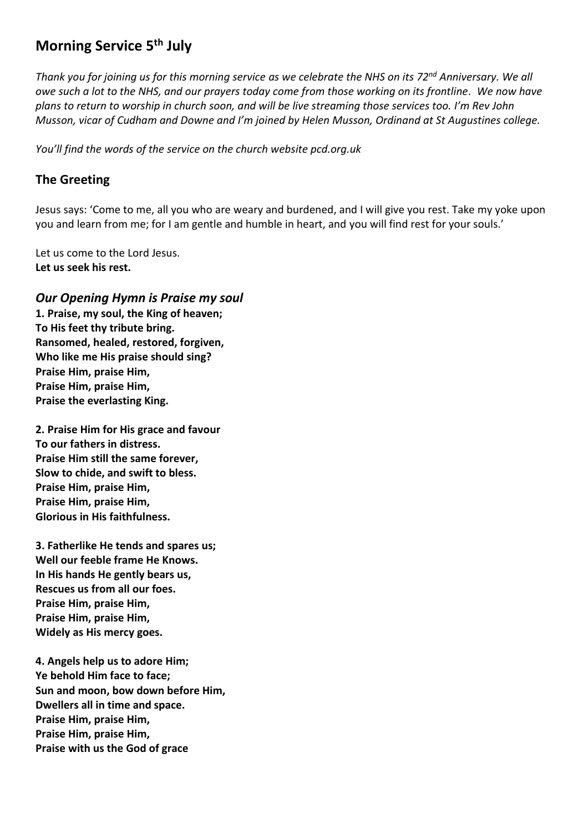# **Morning Service 5 th July**

*Thank you for joining us for this morning service as we celebrate the NHS on its 72nd Anniversary. We all owe such a lot to the NHS, and our prayers today come from those working on its frontline. We now have plans to return to worship in church soon, and will be live streaming those services too. I'm Rev John Musson, vicar of Cudham and Downe and I'm joined by Helen Musson, Ordinand at St Augustines college.* 

*You'll find the words of the service on the church website pcd.org.uk* 

## **The Greeting**

Jesus says: 'Come to me, all you who are weary and burdened, and I will give you rest. Take my yoke upon you and learn from me; for I am gentle and humble in heart, and you will find rest for your souls.'

Let us come to the Lord Jesus. **Let us seek his rest.**

*Our Opening Hymn is Praise my soul* **1. Praise, my soul, the King of heaven; To His feet thy tribute bring. Ransomed, healed, restored, forgiven, Who like me His praise should sing? Praise Him, praise Him, Praise Him, praise Him, Praise the everlasting King.**

**2. Praise Him for His grace and favour To our fathers in distress. Praise Him still the same forever, Slow to chide, and swift to bless. Praise Him, praise Him, Praise Him, praise Him, Glorious in His faithfulness.**

**3. Fatherlike He tends and spares us; Well our feeble frame He Knows. In His hands He gently bears us, Rescues us from all our foes. Praise Him, praise Him, Praise Him, praise Him, Widely as His mercy goes.**

**4. Angels help us to adore Him; Ye behold Him face to face; Sun and moon, bow down before Him, Dwellers all in time and space. Praise Him, praise Him, Praise Him, praise Him, Praise with us the God of grace**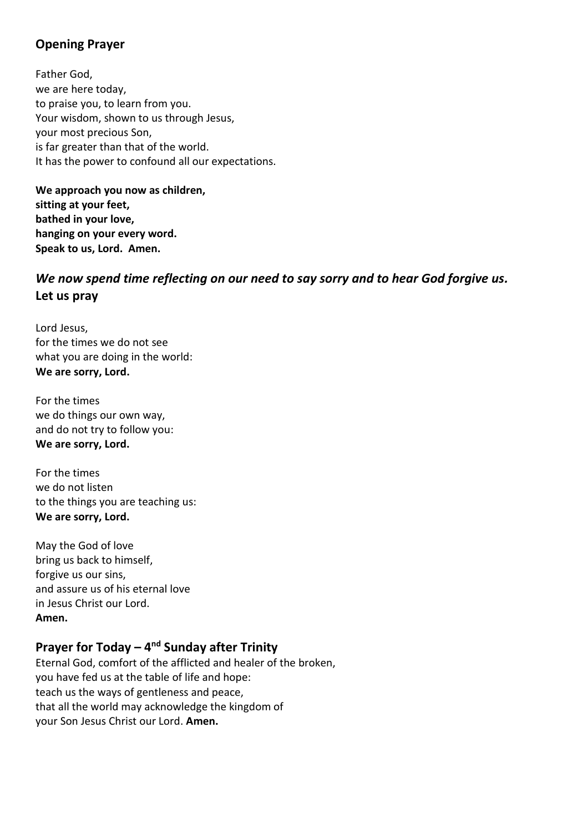## **Opening Prayer**

Father God, we are here today, to praise you, to learn from you. Your wisdom, shown to us through Jesus, your most precious Son, is far greater than that of the world. It has the power to confound all our expectations.

**We approach you now as children, sitting at your feet, bathed in your love, hanging on your every word. Speak to us, Lord. Amen.**

## *We now spend time reflecting on our need to say sorry and to hear God forgive us.* **Let us pray**

Lord Jesus, for the times we do not see what you are doing in the world: **We are sorry, Lord.**

For the times we do things our own way, and do not try to follow you: **We are sorry, Lord.**

For the times we do not listen to the things you are teaching us: **We are sorry, Lord.**

May the God of love bring us back to himself, forgive us our sins, and assure us of his eternal love in Jesus Christ our Lord. **Amen.**

## **Prayer for Today – 4<sup>nd</sup> Sunday after Trinity**

Eternal God, comfort of the afflicted and healer of the broken, you have fed us at the table of life and hope: teach us the ways of gentleness and peace, that all the world may acknowledge the kingdom of your Son Jesus Christ our Lord. **Amen.**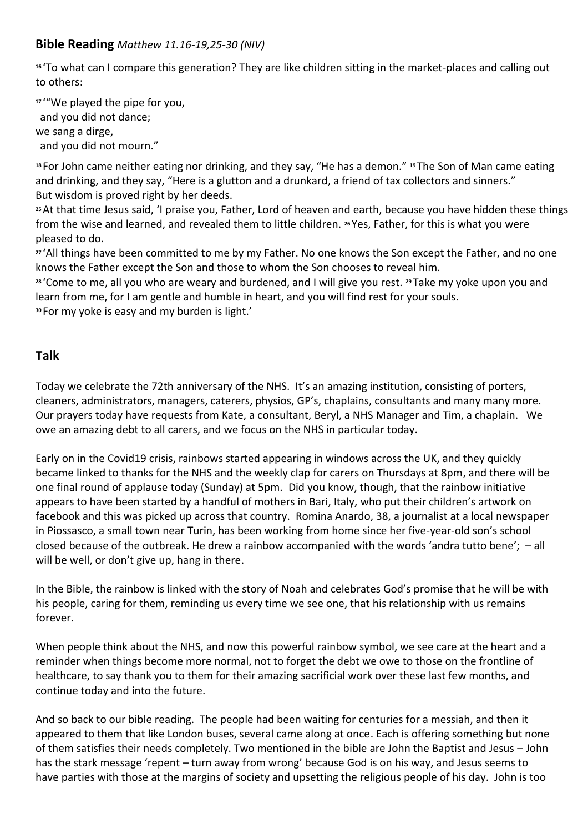### **Bible Reading** *Matthew 11.16-19,25-30 (NIV)*

**<sup>16</sup>** 'To what can I compare this generation? They are like children sitting in the market-places and calling out to others:

**<sup>17</sup>** '"We played the pipe for you, and you did not dance; we sang a dirge, and you did not mourn."

**<sup>18</sup>** For John came neither eating nor drinking, and they say, "He has a demon." **<sup>19</sup>** The Son of Man came eating and drinking, and they say, "Here is a glutton and a drunkard, a friend of tax collectors and sinners." But wisdom is proved right by her deeds.

**<sup>25</sup>**At that time Jesus said, 'I praise you, Father, Lord of heaven and earth, because you have hidden these things from the wise and learned, and revealed them to little children. **<sup>26</sup>** Yes, Father, for this is what you were pleased to do.

**<sup>27</sup>** 'All things have been committed to me by my Father. No one knows the Son except the Father, and no one knows the Father except the Son and those to whom the Son chooses to reveal him.

**<sup>28</sup>** 'Come to me, all you who are weary and burdened, and I will give you rest. **<sup>29</sup>** Take my yoke upon you and learn from me, for I am gentle and humble in heart, and you will find rest for your souls. **<sup>30</sup>** For my yoke is easy and my burden is light.'

## **Talk**

Today we celebrate the 72th anniversary of the NHS. It's an amazing institution, consisting of porters, cleaners, administrators, managers, caterers, physios, GP's, chaplains, consultants and many many more. Our prayers today have requests from Kate, a consultant, Beryl, a NHS Manager and Tim, a chaplain. We owe an amazing debt to all carers, and we focus on the NHS in particular today.

Early on in the Covid19 crisis, rainbows started appearing in windows across the UK, and they quickly became linked to thanks for the NHS and the weekly clap for carers on Thursdays at 8pm, and there will be one final round of applause today (Sunday) at 5pm. Did you know, though, that the rainbow initiative appears to have been started by a handful of mothers in Bari, Italy, who put their children's artwork on facebook and this was picked up across that country. Romina Anardo, 38, a journalist at a local newspaper in Piossasco, a small town near Turin, has been working from home since her five-year-old son's school closed because of the outbreak. He drew a rainbow accompanied with the words 'andra tutto bene'; – all will be well, or don't give up, hang in there.

In the Bible, the rainbow is linked with the story of Noah and celebrates God's promise that he will be with his people, caring for them, reminding us every time we see one, that his relationship with us remains forever.

When people think about the NHS, and now this powerful rainbow symbol, we see care at the heart and a reminder when things become more normal, not to forget the debt we owe to those on the frontline of healthcare, to say thank you to them for their amazing sacrificial work over these last few months, and continue today and into the future.

And so back to our bible reading. The people had been waiting for centuries for a messiah, and then it appeared to them that like London buses, several came along at once. Each is offering something but none of them satisfies their needs completely. Two mentioned in the bible are John the Baptist and Jesus – John has the stark message 'repent – turn away from wrong' because God is on his way, and Jesus seems to have parties with those at the margins of society and upsetting the religious people of his day. John is too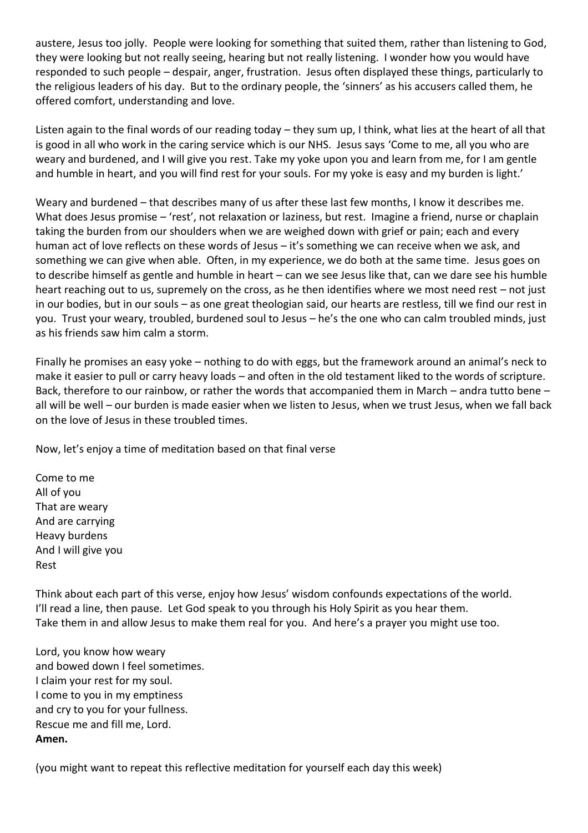austere, Jesus too jolly. People were looking for something that suited them, rather than listening to God, they were looking but not really seeing, hearing but not really listening. I wonder how you would have responded to such people – despair, anger, frustration. Jesus often displayed these things, particularly to the religious leaders of his day. But to the ordinary people, the 'sinners' as his accusers called them, he offered comfort, understanding and love.

Listen again to the final words of our reading today – they sum up, I think, what lies at the heart of all that is good in all who work in the caring service which is our NHS. Jesus says 'Come to me, all you who are weary and burdened, and I will give you rest. Take my yoke upon you and learn from me, for I am gentle and humble in heart, and you will find rest for your souls. For my yoke is easy and my burden is light.'

Weary and burdened – that describes many of us after these last few months, I know it describes me. What does Jesus promise – 'rest', not relaxation or laziness, but rest. Imagine a friend, nurse or chaplain taking the burden from our shoulders when we are weighed down with grief or pain; each and every human act of love reflects on these words of Jesus – it's something we can receive when we ask, and something we can give when able. Often, in my experience, we do both at the same time. Jesus goes on to describe himself as gentle and humble in heart – can we see Jesus like that, can we dare see his humble heart reaching out to us, supremely on the cross, as he then identifies where we most need rest – not just in our bodies, but in our souls – as one great theologian said, our hearts are restless, till we find our rest in you. Trust your weary, troubled, burdened soul to Jesus – he's the one who can calm troubled minds, just as his friends saw him calm a storm.

Finally he promises an easy yoke – nothing to do with eggs, but the framework around an animal's neck to make it easier to pull or carry heavy loads – and often in the old testament liked to the words of scripture. Back, therefore to our rainbow, or rather the words that accompanied them in March – andra tutto bene – all will be well – our burden is made easier when we listen to Jesus, when we trust Jesus, when we fall back on the love of Jesus in these troubled times.

Now, let's enjoy a time of meditation based on that final verse

Come to me All of you That are weary And are carrying Heavy burdens And I will give you Rest

Think about each part of this verse, enjoy how Jesus' wisdom confounds expectations of the world. I'll read a line, then pause. Let God speak to you through his Holy Spirit as you hear them. Take them in and allow Jesus to make them real for you. And here's a prayer you might use too.

Lord, you know how weary and bowed down I feel sometimes. I claim your rest for my soul. I come to you in my emptiness and cry to you for your fullness. Rescue me and fill me, Lord. **Amen.**

(you might want to repeat this reflective meditation for yourself each day this week)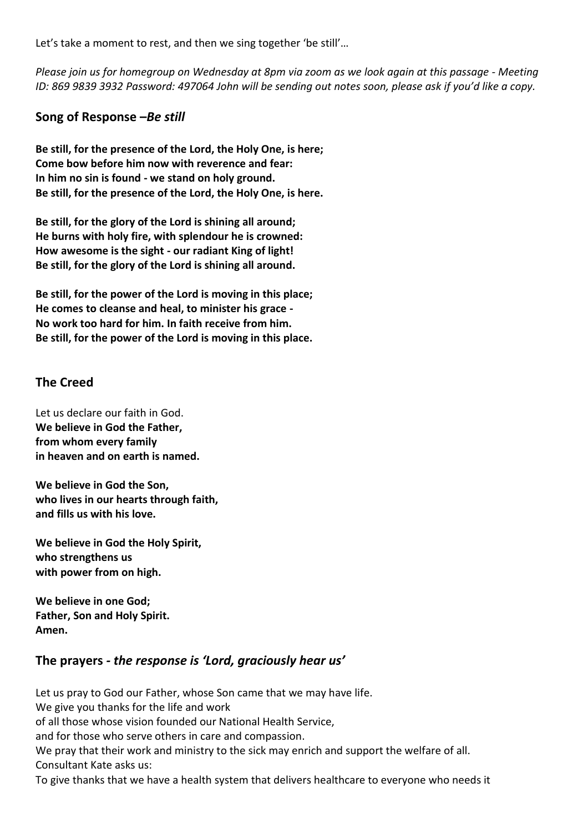Let's take a moment to rest, and then we sing together 'be still'...

*Please join us for homegroup on Wednesday at 8pm via zoom as we look again at this passage - Meeting ID: 869 9839 3932 Password: 497064 John will be sending out notes soon, please ask if you'd like a copy.*

### **Song of Response –***Be still*

**Be still, for the presence of the Lord, the Holy One, is here; Come bow before him now with reverence and fear: In him no sin is found - we stand on holy ground. Be still, for the presence of the Lord, the Holy One, is here.**

**Be still, for the glory of the Lord is shining all around; He burns with holy fire, with splendour he is crowned: How awesome is the sight - our radiant King of light! Be still, for the glory of the Lord is shining all around.**

**Be still, for the power of the Lord is moving in this place; He comes to cleanse and heal, to minister his grace - No work too hard for him. In faith receive from him. Be still, for the power of the Lord is moving in this place.**

#### **The Creed**

Let us declare our faith in God. **We believe in God the Father, from whom every family in heaven and on earth is named.**

**We believe in God the Son, who lives in our hearts through faith, and fills us with his love.**

**We believe in God the Holy Spirit, who strengthens us with power from on high.**

**We believe in one God; Father, Son and Holy Spirit. Amen.**

### **The prayers** *- the response is 'Lord, graciously hear us'*

Let us pray to God our Father, whose Son came that we may have life. We give you thanks for the life and work of all those whose vision founded our National Health Service, and for those who serve others in care and compassion. We pray that their work and ministry to the sick may enrich and support the welfare of all. Consultant Kate asks us:

To give thanks that we have a health system that delivers healthcare to everyone who needs it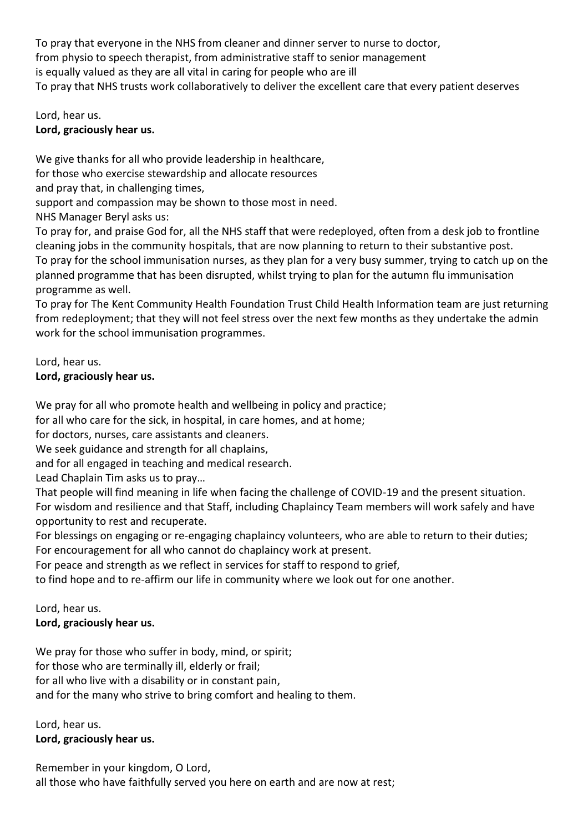To pray that everyone in the NHS from cleaner and dinner server to nurse to doctor, from physio to speech therapist, from administrative staff to senior management is equally valued as they are all vital in caring for people who are ill To pray that NHS trusts work collaboratively to deliver the excellent care that every patient deserves

Lord, hear us. **Lord, graciously hear us.**

We give thanks for all who provide leadership in healthcare, for those who exercise stewardship and allocate resources

and pray that, in challenging times,

support and compassion may be shown to those most in need.

NHS Manager Beryl asks us:

To pray for, and praise God for, all the NHS staff that were redeployed, often from a desk job to frontline cleaning jobs in the community hospitals, that are now planning to return to their substantive post. To pray for the school immunisation nurses, as they plan for a very busy summer, trying to catch up on the planned programme that has been disrupted, whilst trying to plan for the autumn flu immunisation programme as well.

To pray for The Kent Community Health Foundation Trust Child Health Information team are just returning from redeployment; that they will not feel stress over the next few months as they undertake the admin work for the school immunisation programmes.

Lord, hear us.

### **Lord, graciously hear us.**

We pray for all who promote health and wellbeing in policy and practice;

for all who care for the sick, in hospital, in care homes, and at home;

for doctors, nurses, care assistants and cleaners.

We seek guidance and strength for all chaplains,

and for all engaged in teaching and medical research.

Lead Chaplain Tim asks us to pray…

That people will find meaning in life when facing the challenge of COVID-19 and the present situation. For wisdom and resilience and that Staff, including Chaplaincy Team members will work safely and have opportunity to rest and recuperate.

For blessings on engaging or re-engaging chaplaincy volunteers, who are able to return to their duties; For encouragement for all who cannot do chaplaincy work at present.

For peace and strength as we reflect in services for staff to respond to grief,

to find hope and to re-affirm our life in community where we look out for one another.

Lord, hear us.

**Lord, graciously hear us.**

We pray for those who suffer in body, mind, or spirit; for those who are terminally ill, elderly or frail;

for all who live with a disability or in constant pain, and for the many who strive to bring comfort and healing to them.

Lord, hear us. **Lord, graciously hear us.**

Remember in your kingdom, O Lord, all those who have faithfully served you here on earth and are now at rest;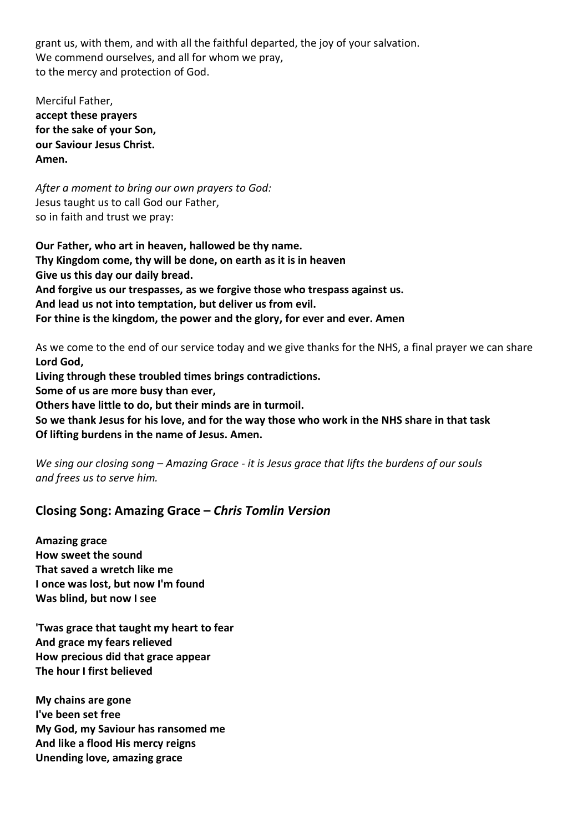grant us, with them, and with all the faithful departed, the joy of your salvation. We commend ourselves, and all for whom we pray, to the mercy and protection of God.

Merciful Father, **accept these prayers for the sake of your Son, our Saviour Jesus Christ. Amen.**

*After a moment to bring our own prayers to God:* Jesus taught us to call God our Father, so in faith and trust we pray:

**Our Father, who art in heaven, hallowed be thy name. Thy Kingdom come, thy will be done, on earth as it is in heaven Give us this day our daily bread. And forgive us our trespasses, as we forgive those who trespass against us. And lead us not into temptation, but deliver us from evil. For thine is the kingdom, the power and the glory, for ever and ever. Amen**

As we come to the end of our service today and we give thanks for the NHS, a final prayer we can share **Lord God,**

**Living through these troubled times brings contradictions. Some of us are more busy than ever, Others have little to do, but their minds are in turmoil. So we thank Jesus for his love, and for the way those who work in the NHS share in that task Of lifting burdens in the name of Jesus. Amen.**

*We sing our closing song – Amazing Grace - it is Jesus grace that lifts the burdens of our souls and frees us to serve him.*

### **Closing Song: Amazing Grace –** *Chris Tomlin Version*

**Amazing grace How sweet the sound That saved a wretch like me I once was lost, but now I'm found Was blind, but now I see**

**'Twas grace that taught my heart to fear And grace my fears relieved How precious did that grace appear The hour I first believed**

**My chains are gone I've been set free My God, my Saviour has ransomed me And like a flood His mercy reigns Unending love, amazing grace**